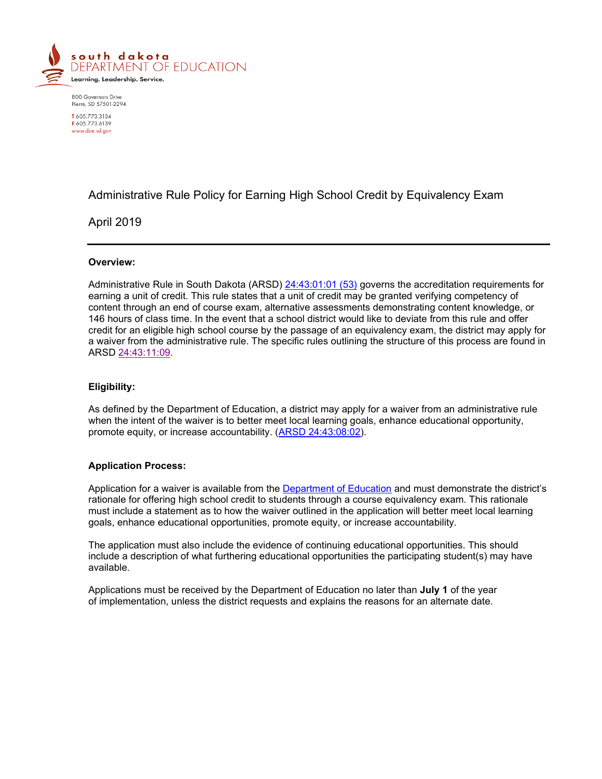

800 Governors Drive Pierre, SD 57501-2294 T605.773.3134 F 605 773 6139 www.doe.sd.gov

# Administrative Rule Policy for Earning High School Credit by Equivalency Exam

## April 2019

## **Overview:**

Administrative Rule in South Dakota (ARSD) [24:43:01:01 \(53\)](https://sdlegislature.gov/Rules/DisplayRule.aspx?Rule=24:43:01:01) governs the accreditation requirements for earning a unit of credit. This rule states that a unit of credit may be granted verifying competency of content through an end of course exam, alternative assessments demonstrating content knowledge, or 146 hours of class time. In the event that a school district would like to deviate from this rule and offer credit for an eligible high school course by the passage of an equivalency exam, the district may apply for a waiver from the administrative rule. The specific rules outlining the structure of this process are found in ARSD [24:43:11:09.](https://sdlegislature.gov/Rules/DisplayRule.aspx?Rule=24:43:11:09)

## **Eligibility:**

As defined by the Department of Education, a district may apply for a waiver from an administrative rule when the intent of the waiver is to better meet local learning goals, enhance educational opportunity, promote equity, or increase accountability. [\(ARSD 24:43:08:02\)](https://sdlegislature.gov/Rules/DisplayRule.aspx?Rule=24:43:08:02).

## **Application Process:**

Application for a waiver is available from the [Department of Education](https://doe.sd.gov/oatq/adminrulewaivers.aspx) and must demonstrate the district's rationale for offering high school credit to students through a course equivalency exam. This rationale must include a statement as to how the waiver outlined in the application will better meet local learning goals, enhance educational opportunities, promote equity, or increase accountability.

The application must also include the evidence of continuing educational opportunities. This should include a description of what furthering educational opportunities the participating student(s) may have available.

Applications must be received by the Department of Education no later than **July 1** of the year of implementation, unless the district requests and explains the reasons for an alternate date.